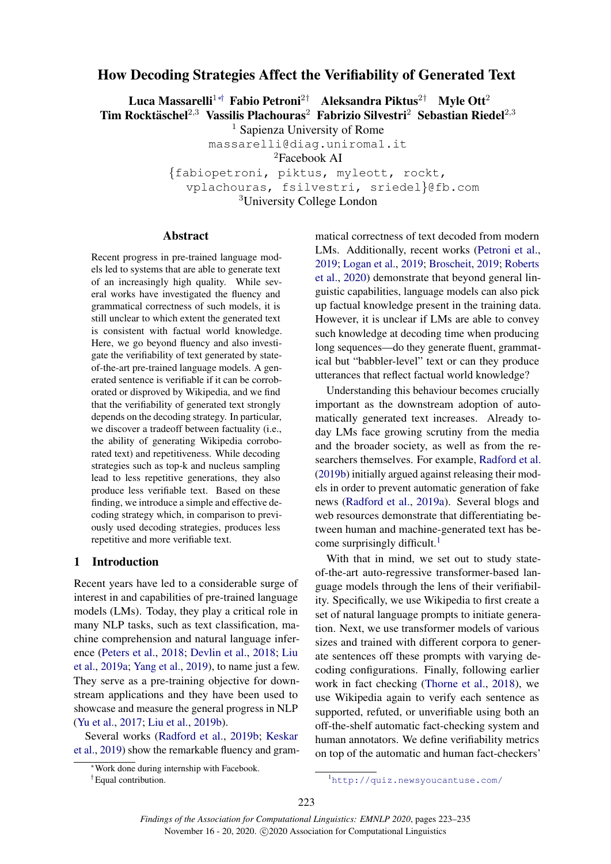# <span id="page-0-0"></span>How Decoding Strategies Affect the Verifiability of Generated Text

Luca Massarelli<sup>1∗†</sup> Fabio Petroni<sup>2†</sup> Aleksandra Piktus<sup>2†</sup> Myle Ott<sup>2</sup> Tim Rocktäschel<sup>2,3</sup> Vassilis Plachouras<sup>2</sup> Fabrizio Silvestri<sup>2</sup> Sebastian Riedel<sup>2,3</sup>

<sup>1</sup> Sapienza University of Rome

massarelli@diag.uniroma1.it

<sup>2</sup>Facebook AI

{fabiopetroni, piktus, myleott, rockt, vplachouras, fsilvestri, sriedel}@fb.com <sup>3</sup>University College London

### Abstract

Recent progress in pre-trained language models led to systems that are able to generate text of an increasingly high quality. While several works have investigated the fluency and grammatical correctness of such models, it is still unclear to which extent the generated text is consistent with factual world knowledge. Here, we go beyond fluency and also investigate the verifiability of text generated by stateof-the-art pre-trained language models. A generated sentence is verifiable if it can be corroborated or disproved by Wikipedia, and we find that the verifiability of generated text strongly depends on the decoding strategy. In particular, we discover a tradeoff between factuality (i.e., the ability of generating Wikipedia corroborated text) and repetitiveness. While decoding strategies such as top-k and nucleus sampling lead to less repetitive generations, they also produce less verifiable text. Based on these finding, we introduce a simple and effective decoding strategy which, in comparison to previously used decoding strategies, produces less repetitive and more verifiable text.

# 1 Introduction

Recent years have led to a considerable surge of interest in and capabilities of pre-trained language models (LMs). Today, they play a critical role in many NLP tasks, such as text classification, machine comprehension and natural language inference [\(Peters et al.,](#page-8-0) [2018;](#page-8-0) [Devlin et al.,](#page-8-1) [2018;](#page-8-1) [Liu](#page-8-2) [et al.,](#page-8-2) [2019a;](#page-8-2) [Yang et al.,](#page-9-0) [2019\)](#page-9-0), to name just a few. They serve as a pre-training objective for downstream applications and they have been used to showcase and measure the general progress in NLP [\(Yu et al.,](#page-9-1) [2017;](#page-9-1) [Liu et al.,](#page-8-3) [2019b\)](#page-8-3).

Several works [\(Radford et al.,](#page-9-2) [2019b;](#page-9-2) [Keskar](#page-8-4) [et al.,](#page-8-4) [2019\)](#page-8-4) show the remarkable fluency and grammatical correctness of text decoded from modern LMs. Additionally, recent works [\(Petroni et al.,](#page-8-5) [2019;](#page-8-5) [Logan et al.,](#page-8-6) [2019;](#page-8-6) [Broscheit,](#page-8-7) [2019;](#page-8-7) [Roberts](#page-9-3) [et al.,](#page-9-3) [2020\)](#page-9-3) demonstrate that beyond general linguistic capabilities, language models can also pick up factual knowledge present in the training data. However, it is unclear if LMs are able to convey such knowledge at decoding time when producing long sequences—do they generate fluent, grammatical but "babbler-level" text or can they produce utterances that reflect factual world knowledge?

Understanding this behaviour becomes crucially important as the downstream adoption of automatically generated text increases. Already today LMs face growing scrutiny from the media and the broader society, as well as from the researchers themselves. For example, [Radford et al.](#page-9-2) [\(2019b\)](#page-9-2) initially argued against releasing their models in order to prevent automatic generation of fake news [\(Radford et al.,](#page-9-4) [2019a\)](#page-9-4). Several blogs and web resources demonstrate that differentiating between human and machine-generated text has become surprisingly difficult.<sup>1</sup>

With that in mind, we set out to study stateof-the-art auto-regressive transformer-based language models through the lens of their verifiability. Specifically, we use Wikipedia to first create a set of natural language prompts to initiate generation. Next, we use transformer models of various sizes and trained with different corpora to generate sentences off these prompts with varying decoding configurations. Finally, following earlier work in fact checking [\(Thorne et al.,](#page-9-5) [2018\)](#page-9-5), we use Wikipedia again to verify each sentence as supported, refuted, or unverifiable using both an off-the-shelf automatic fact-checking system and human annotators. We define verifiability metrics on top of the automatic and human fact-checkers'

<sup>∗</sup>Work done during internship with Facebook.

<sup>†</sup>Equal contribution.

<sup>1</sup><http://quiz.newsyoucantuse.com/>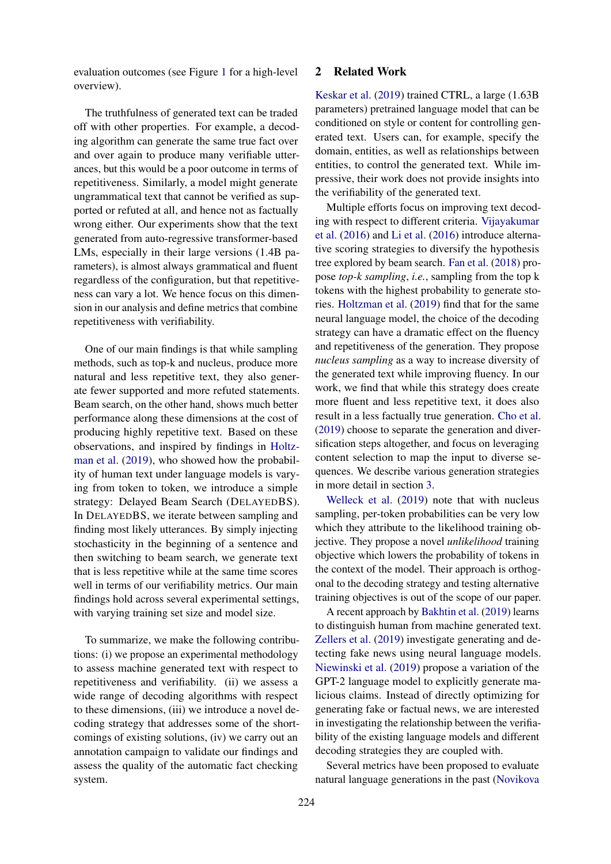evaluation outcomes (see Figure [1](#page-2-0) for a high-level overview).

The truthfulness of generated text can be traded off with other properties. For example, a decoding algorithm can generate the same true fact over and over again to produce many verifiable utterances, but this would be a poor outcome in terms of repetitiveness. Similarly, a model might generate ungrammatical text that cannot be verified as supported or refuted at all, and hence not as factually wrong either. Our experiments show that the text generated from auto-regressive transformer-based LMs, especially in their large versions (1.4B parameters), is almost always grammatical and fluent regardless of the configuration, but that repetitiveness can vary a lot. We hence focus on this dimension in our analysis and define metrics that combine repetitiveness with verifiability.

One of our main findings is that while sampling methods, such as top-k and nucleus, produce more natural and less repetitive text, they also generate fewer supported and more refuted statements. Beam search, on the other hand, shows much better performance along these dimensions at the cost of producing highly repetitive text. Based on these observations, and inspired by findings in [Holtz](#page-8-8)[man et al.](#page-8-8) [\(2019\)](#page-8-8), who showed how the probability of human text under language models is varying from token to token, we introduce a simple strategy: Delayed Beam Search (DELAYEDBS). In DELAYEDBS, we iterate between sampling and finding most likely utterances. By simply injecting stochasticity in the beginning of a sentence and then switching to beam search, we generate text that is less repetitive while at the same time scores well in terms of our verifiability metrics. Our main findings hold across several experimental settings, with varying training set size and model size.

To summarize, we make the following contributions: (i) we propose an experimental methodology to assess machine generated text with respect to repetitiveness and verifiability. (ii) we assess a wide range of decoding algorithms with respect to these dimensions, (iii) we introduce a novel decoding strategy that addresses some of the shortcomings of existing solutions, (iv) we carry out an annotation campaign to validate our findings and assess the quality of the automatic fact checking system.

### 2 Related Work

[Keskar et al.](#page-8-4) [\(2019\)](#page-8-4) trained CTRL, a large (1.63B parameters) pretrained language model that can be conditioned on style or content for controlling generated text. Users can, for example, specify the domain, entities, as well as relationships between entities, to control the generated text. While impressive, their work does not provide insights into the verifiability of the generated text.

Multiple efforts focus on improving text decoding with respect to different criteria. [Vijayakumar](#page-9-6) [et al.](#page-9-6) [\(2016\)](#page-9-6) and [Li et al.](#page-8-9) [\(2016\)](#page-8-9) introduce alternative scoring strategies to diversify the hypothesis tree explored by beam search. [Fan et al.](#page-8-10) [\(2018\)](#page-8-10) propose *top-k sampling*, *i.e.*, sampling from the top k tokens with the highest probability to generate stories. [Holtzman et al.](#page-8-8) [\(2019\)](#page-8-8) find that for the same neural language model, the choice of the decoding strategy can have a dramatic effect on the fluency and repetitiveness of the generation. They propose *nucleus sampling* as a way to increase diversity of the generated text while improving fluency. In our work, we find that while this strategy does create more fluent and less repetitive text, it does also result in a less factually true generation. [Cho et al.](#page-8-11) [\(2019\)](#page-8-11) choose to separate the generation and diversification steps altogether, and focus on leveraging content selection to map the input to diverse sequences. We describe various generation strategies in more detail in section [3.](#page-2-1)

[Welleck et al.](#page-9-7) [\(2019\)](#page-9-7) note that with nucleus sampling, per-token probabilities can be very low which they attribute to the likelihood training objective. They propose a novel *unlikelihood* training objective which lowers the probability of tokens in the context of the model. Their approach is orthogonal to the decoding strategy and testing alternative training objectives is out of the scope of our paper.

A recent approach by [Bakhtin et al.](#page-8-12) [\(2019\)](#page-8-12) learns to distinguish human from machine generated text. [Zellers et al.](#page-9-8) [\(2019\)](#page-9-8) investigate generating and detecting fake news using neural language models. [Niewinski et al.](#page-8-13) [\(2019\)](#page-8-13) propose a variation of the GPT-2 language model to explicitly generate malicious claims. Instead of directly optimizing for generating fake or factual news, we are interested in investigating the relationship between the verifiability of the existing language models and different decoding strategies they are coupled with.

Several metrics have been proposed to evaluate natural language generations in the past [\(Novikova](#page-8-14)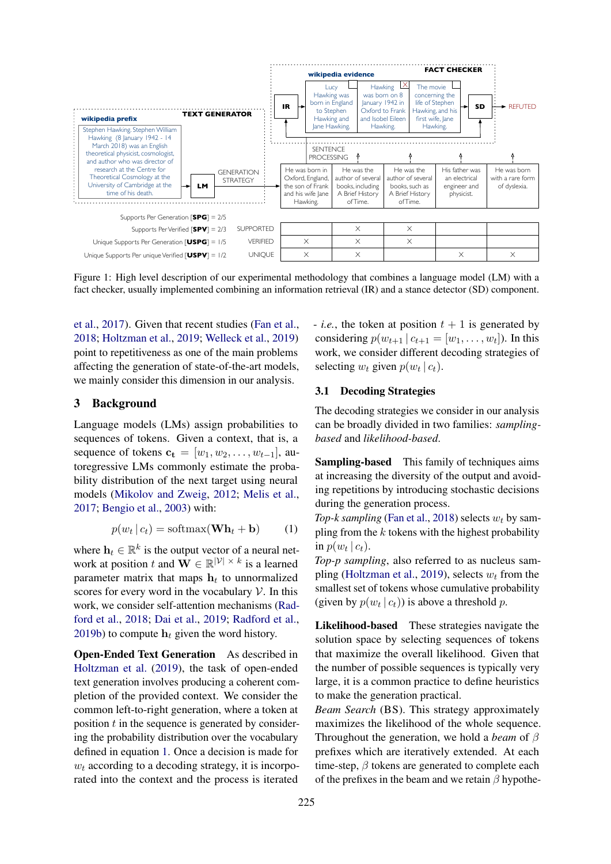<span id="page-2-0"></span>

Figure 1: High level description of our experimental methodology that combines a language model (LM) with a fact checker, usually implemented combining an information retrieval (IR) and a stance detector (SD) component.

[et al.,](#page-8-14) [2017\)](#page-8-14). Given that recent studies [\(Fan et al.,](#page-8-10) [2018;](#page-8-10) [Holtzman et al.,](#page-8-8) [2019;](#page-8-8) [Welleck et al.,](#page-9-7) [2019\)](#page-9-7) point to repetitiveness as one of the main problems affecting the generation of state-of-the-art models, we mainly consider this dimension in our analysis.

# <span id="page-2-1"></span>3 Background

Language models (LMs) assign probabilities to sequences of tokens. Given a context, that is, a sequence of tokens  $c_t = [w_1, w_2, \dots, w_{t-1}]$ , autoregressive LMs commonly estimate the probability distribution of the next target using neural models [\(Mikolov and Zweig,](#page-8-15) [2012;](#page-8-15) [Melis et al.,](#page-8-16) [2017;](#page-8-16) [Bengio et al.,](#page-8-17) [2003\)](#page-8-17) with:

$$
p(w_t | c_t) = \text{softmax}(\mathbf{Wh}_t + \mathbf{b}) \tag{1}
$$

where  $\mathbf{h}_t \in \mathbb{R}^k$  is the output vector of a neural network at position t and  $\mathbf{W} \in \mathbb{R}^{|\mathcal{V}| \times k}$  is a learned parameter matrix that maps  $h_t$  to unnormalized scores for every word in the vocabulary  $\mathcal V$ . In this work, we consider self-attention mechanisms [\(Rad](#page-8-18)[ford et al.,](#page-8-18) [2018;](#page-8-18) [Dai et al.,](#page-8-19) [2019;](#page-8-19) [Radford et al.,](#page-9-2) [2019b\)](#page-9-2) to compute  $h_t$  given the word history.

Open-Ended Text Generation As described in [Holtzman et al.](#page-8-8) [\(2019\)](#page-8-8), the task of open-ended text generation involves producing a coherent completion of the provided context. We consider the common left-to-right generation, where a token at position  $t$  in the sequence is generated by considering the probability distribution over the vocabulary defined in equation [1.](#page-2-2) Once a decision is made for  $w_t$  according to a decoding strategy, it is incorporated into the context and the process is iterated

- *i.e.*, the token at position  $t + 1$  is generated by considering  $p(w_{t+1} | c_{t+1} = [w_1, \ldots, w_t])$ . In this work, we consider different decoding strategies of selecting  $w_t$  given  $p(w_t | c_t)$ .

# <span id="page-2-3"></span>3.1 Decoding Strategies

The decoding strategies we consider in our analysis can be broadly divided in two families: *samplingbased* and *likelihood-based*.

Sampling-based This family of techniques aims at increasing the diversity of the output and avoiding repetitions by introducing stochastic decisions during the generation process.

<span id="page-2-2"></span>*Top-k sampling* [\(Fan et al.,](#page-8-10) [2018\)](#page-8-10) selects  $w_t$  by sampling from the  $k$  tokens with the highest probability in  $p(w_t | c_t)$ .

*Top-p sampling*, also referred to as nucleus sam-pling [\(Holtzman et al.,](#page-8-8) [2019\)](#page-8-8), selects  $w_t$  from the smallest set of tokens whose cumulative probability (given by  $p(w_t | c_t)$ ) is above a threshold p.

Likelihood-based These strategies navigate the solution space by selecting sequences of tokens that maximize the overall likelihood. Given that the number of possible sequences is typically very large, it is a common practice to define heuristics to make the generation practical.

*Beam Search* (BS). This strategy approximately maximizes the likelihood of the whole sequence. Throughout the generation, we hold a *beam* of β prefixes which are iteratively extended. At each time-step,  $\beta$  tokens are generated to complete each of the prefixes in the beam and we retain  $\beta$  hypothe-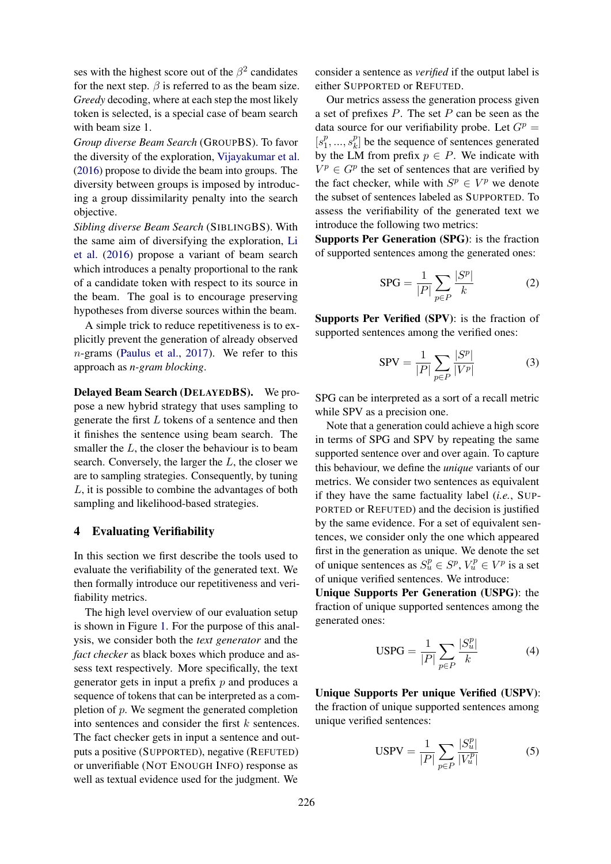ses with the highest score out of the  $\beta^2$  candidates for the next step.  $\beta$  is referred to as the beam size. *Greedy* decoding, where at each step the most likely token is selected, is a special case of beam search with beam size 1.

*Group diverse Beam Search* (GROUPBS). To favor the diversity of the exploration, [Vijayakumar et al.](#page-9-6) [\(2016\)](#page-9-6) propose to divide the beam into groups. The diversity between groups is imposed by introducing a group dissimilarity penalty into the search objective.

*Sibling diverse Beam Search* (SIBLINGBS). With the same aim of diversifying the exploration, [Li](#page-8-9) [et al.](#page-8-9) [\(2016\)](#page-8-9) propose a variant of beam search which introduces a penalty proportional to the rank of a candidate token with respect to its source in the beam. The goal is to encourage preserving hypotheses from diverse sources within the beam.

A simple trick to reduce repetitiveness is to explicitly prevent the generation of already observed n-grams [\(Paulus et al.,](#page-8-20) [2017\)](#page-8-20). We refer to this approach as *n-gram blocking*.

Delayed Beam Search (DELAYEDBS). We propose a new hybrid strategy that uses sampling to generate the first  $L$  tokens of a sentence and then it finishes the sentence using beam search. The smaller the  $L$ , the closer the behaviour is to beam search. Conversely, the larger the  $L$ , the closer we are to sampling strategies. Consequently, by tuning L, it is possible to combine the advantages of both sampling and likelihood-based strategies.

### <span id="page-3-0"></span>4 Evaluating Verifiability

In this section we first describe the tools used to evaluate the verifiability of the generated text. We then formally introduce our repetitiveness and verifiability metrics.

The high level overview of our evaluation setup is shown in Figure [1.](#page-2-0) For the purpose of this analysis, we consider both the *text generator* and the *fact checker* as black boxes which produce and assess text respectively. More specifically, the text generator gets in input a prefix  $p$  and produces a sequence of tokens that can be interpreted as a completion of p. We segment the generated completion into sentences and consider the first  $k$  sentences. The fact checker gets in input a sentence and outputs a positive (SUPPORTED), negative (REFUTED) or unverifiable (NOT ENOUGH INFO) response as well as textual evidence used for the judgment. We

consider a sentence as *verified* if the output label is either SUPPORTED or REFUTED.

Our metrics assess the generation process given a set of prefixes  $P$ . The set  $P$  can be seen as the data source for our verifiability probe. Let  $G<sup>p</sup>$  =  $[s_1^p]$  $j_1^p, ..., s_k^p$  $\binom{p}{k}$  be the sequence of sentences generated by the LM from prefix  $p \in P$ . We indicate with  $V^p \in G^p$  the set of sentences that are verified by the fact checker, while with  $S^p \in V^p$  we denote the subset of sentences labeled as SUPPORTED. To assess the verifiability of the generated text we introduce the following two metrics:

Supports Per Generation (SPG): is the fraction of supported sentences among the generated ones:

$$
SPG = \frac{1}{|P|} \sum_{p \in P} \frac{|S^p|}{k} \tag{2}
$$

Supports Per Verified (SPV): is the fraction of supported sentences among the verified ones:

$$
SPV = \frac{1}{|P|} \sum_{p \in P} \frac{|S^p|}{|V^p|}
$$
 (3)

SPG can be interpreted as a sort of a recall metric while SPV as a precision one.

Note that a generation could achieve a high score in terms of SPG and SPV by repeating the same supported sentence over and over again. To capture this behaviour, we define the *unique* variants of our metrics. We consider two sentences as equivalent if they have the same factuality label (*i.e.*, SUP-PORTED or REFUTED) and the decision is justified by the same evidence. For a set of equivalent sentences, we consider only the one which appeared first in the generation as unique. We denote the set of unique sentences as  $S_u^p \in S^p$ ,  $V_u^p \in V^p$  is a set of unique verified sentences. We introduce:

Unique Supports Per Generation (USPG): the fraction of unique supported sentences among the generated ones:

$$
USPG = \frac{1}{|P|} \sum_{p \in P} \frac{|S_u^p|}{k} \tag{4}
$$

Unique Supports Per unique Verified (USPV): the fraction of unique supported sentences among unique verified sentences:

USPV = 
$$
\frac{1}{|P|} \sum_{p \in P} \frac{|S_u^p|}{|V_u^p|}
$$
 (5)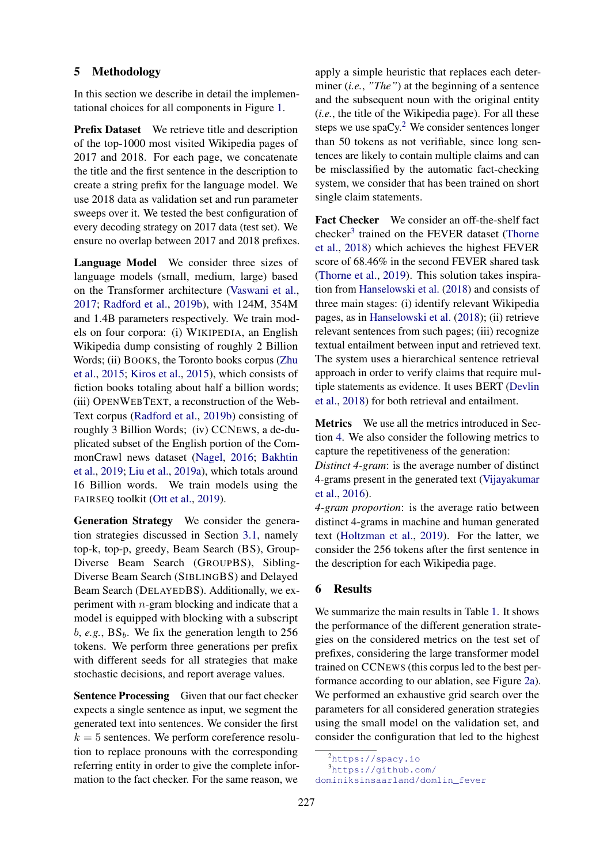# 5 Methodology

In this section we describe in detail the implementational choices for all components in Figure [1.](#page-2-0)

Prefix Dataset We retrieve title and description of the top-1000 most visited Wikipedia pages of 2017 and 2018. For each page, we concatenate the title and the first sentence in the description to create a string prefix for the language model. We use 2018 data as validation set and run parameter sweeps over it. We tested the best configuration of every decoding strategy on 2017 data (test set). We ensure no overlap between 2017 and 2018 prefixes.

Language Model We consider three sizes of language models (small, medium, large) based on the Transformer architecture [\(Vaswani et al.,](#page-9-9) [2017;](#page-9-9) [Radford et al.,](#page-9-2) [2019b\)](#page-9-2), with 124M, 354M and 1.4B parameters respectively. We train models on four corpora: (i) WIKIPEDIA, an English Wikipedia dump consisting of roughly 2 Billion Words; (ii) BOOKS, the Toronto books corpus [\(Zhu](#page-9-10) [et al.,](#page-9-10) [2015;](#page-9-10) [Kiros et al.,](#page-8-21) [2015\)](#page-8-21), which consists of fiction books totaling about half a billion words; (iii) OPENWEBTEXT, a reconstruction of the Web-Text corpus [\(Radford et al.,](#page-9-2) [2019b\)](#page-9-2) consisting of roughly 3 Billion Words; (iv) CCNEWS, a de-duplicated subset of the English portion of the CommonCrawl news dataset [\(Nagel,](#page-8-22) [2016;](#page-8-22) [Bakhtin](#page-8-12) [et al.,](#page-8-12) [2019;](#page-8-12) [Liu et al.,](#page-8-2) [2019a\)](#page-8-2), which totals around 16 Billion words. We train models using the FAIRSEQ toolkit [\(Ott et al.,](#page-8-23) [2019\)](#page-8-23).

Generation Strategy We consider the generation strategies discussed in Section [3.1,](#page-2-3) namely top-k, top-p, greedy, Beam Search (BS), Group-Diverse Beam Search (GROUPBS), Sibling-Diverse Beam Search (SIBLINGBS) and Delayed Beam Search (DELAYEDBS). Additionally, we experiment with n-gram blocking and indicate that a model is equipped with blocking with a subscript  $b, e.g., BS_b$ . We fix the generation length to 256 tokens. We perform three generations per prefix with different seeds for all strategies that make stochastic decisions, and report average values.

Sentence Processing Given that our fact checker expects a single sentence as input, we segment the generated text into sentences. We consider the first  $k = 5$  sentences. We perform coreference resolution to replace pronouns with the corresponding referring entity in order to give the complete information to the fact checker. For the same reason, we

apply a simple heuristic that replaces each determiner (*i.e.*, *"The"*) at the beginning of a sentence and the subsequent noun with the original entity (*i.e.*, the title of the Wikipedia page). For all these steps we use  $spaCy$ .<sup>[2](#page-0-0)</sup> We consider sentences longer than 50 tokens as not verifiable, since long sentences are likely to contain multiple claims and can be misclassified by the automatic fact-checking system, we consider that has been trained on short single claim statements.

Fact Checker We consider an off-the-shelf fact checker<sup>[3](#page-0-0)</sup> trained on the FEVER dataset [\(Thorne](#page-9-5) [et al.,](#page-9-5) [2018\)](#page-9-5) which achieves the highest FEVER score of 68.46% in the second FEVER shared task [\(Thorne et al.,](#page-9-11) [2019\)](#page-9-11). This solution takes inspiration from [Hanselowski et al.](#page-8-24) [\(2018\)](#page-8-24) and consists of three main stages: (i) identify relevant Wikipedia pages, as in [Hanselowski et al.](#page-8-24) [\(2018\)](#page-8-24); (ii) retrieve relevant sentences from such pages; (iii) recognize textual entailment between input and retrieved text. The system uses a hierarchical sentence retrieval approach in order to verify claims that require multiple statements as evidence. It uses BERT [\(Devlin](#page-8-1) [et al.,](#page-8-1) [2018\)](#page-8-1) for both retrieval and entailment.

Metrics We use all the metrics introduced in Section [4.](#page-3-0) We also consider the following metrics to capture the repetitiveness of the generation:

*Distinct 4-gram*: is the average number of distinct 4-grams present in the generated text [\(Vijayakumar](#page-9-6) [et al.,](#page-9-6) [2016\)](#page-9-6).

*4-gram proportion*: is the average ratio between distinct 4-grams in machine and human generated text [\(Holtzman et al.,](#page-8-8) [2019\)](#page-8-8). For the latter, we consider the 256 tokens after the first sentence in the description for each Wikipedia page.

# 6 Results

We summarize the main results in Table [1.](#page-5-0) It shows the performance of the different generation strategies on the considered metrics on the test set of prefixes, considering the large transformer model trained on CCNEWS (this corpus led to the best performance according to our ablation, see Figure [2a\)](#page-6-0). We performed an exhaustive grid search over the parameters for all considered generation strategies using the small model on the validation set, and consider the configuration that led to the highest

 $<sup>2</sup>$ <https://spacy.io></sup>

<sup>3</sup>[https://github.com/](https://github.com/dominiksinsaarland/domlin_fever)

[dominiksinsaarland/domlin\\_fever](https://github.com/dominiksinsaarland/domlin_fever)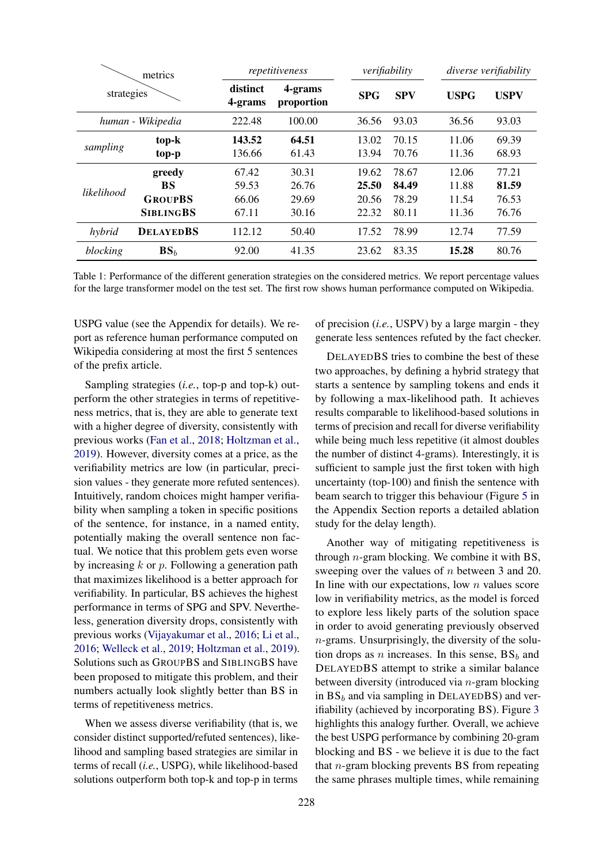<span id="page-5-0"></span>

| metrics<br>strategies |                   | repetitiveness      |                       | verifiability |            |             | diverse verifiability |  |
|-----------------------|-------------------|---------------------|-----------------------|---------------|------------|-------------|-----------------------|--|
|                       |                   | distinct<br>4-grams | 4-grams<br>proportion | <b>SPG</b>    | <b>SPV</b> | <b>USPG</b> | <b>USPV</b>           |  |
|                       | human - Wikipedia | 222.48              | 100.00                | 36.56         | 93.03      | 36.56       | 93.03                 |  |
| sampling              | top-k             | 143.52              | 64.51                 | 13.02         | 70.15      | 11.06       | 69.39                 |  |
|                       | top-p             | 136.66              | 61.43                 | 13.94         | 70.76      | 11.36       | 68.93                 |  |
|                       | greedy            | 67.42               | 30.31                 | 19.62         | 78.67      | 12.06       | 77.21                 |  |
| likelihood            | <b>BS</b>         | 59.53               | 26.76                 | 25.50         | 84.49      | 11.88       | 81.59                 |  |
|                       | <b>GROUPBS</b>    | 66.06               | 29.69                 | 20.56         | 78.29      | 11.54       | 76.53                 |  |
|                       | <b>SIBLINGBS</b>  | 67.11               | 30.16                 | 22.32         | 80.11      | 11.36       | 76.76                 |  |
| hybrid                | <b>DELAYEDBS</b>  | 112.12              | 50.40                 | 17.52         | 78.99      | 12.74       | 77.59                 |  |
| blocking              | BS <sub>b</sub>   | 92.00               | 41.35                 | 23.62         | 83.35      | 15.28       | 80.76                 |  |

Table 1: Performance of the different generation strategies on the considered metrics. We report percentage values for the large transformer model on the test set. The first row shows human performance computed on Wikipedia.

USPG value (see the Appendix for details). We report as reference human performance computed on Wikipedia considering at most the first 5 sentences of the prefix article.

Sampling strategies (*i.e.*, top-p and top-k) outperform the other strategies in terms of repetitiveness metrics, that is, they are able to generate text with a higher degree of diversity, consistently with previous works [\(Fan et al.,](#page-8-10) [2018;](#page-8-10) [Holtzman et al.,](#page-8-8) [2019\)](#page-8-8). However, diversity comes at a price, as the verifiability metrics are low (in particular, precision values - they generate more refuted sentences). Intuitively, random choices might hamper verifiability when sampling a token in specific positions of the sentence, for instance, in a named entity, potentially making the overall sentence non factual. We notice that this problem gets even worse by increasing  $k$  or  $p$ . Following a generation path that maximizes likelihood is a better approach for verifiability. In particular, BS achieves the highest performance in terms of SPG and SPV. Nevertheless, generation diversity drops, consistently with previous works [\(Vijayakumar et al.,](#page-9-6) [2016;](#page-9-6) [Li et al.,](#page-8-9) [2016;](#page-8-9) [Welleck et al.,](#page-9-7) [2019;](#page-9-7) [Holtzman et al.,](#page-8-8) [2019\)](#page-8-8). Solutions such as GROUPBS and SIBLINGBS have been proposed to mitigate this problem, and their numbers actually look slightly better than BS in terms of repetitiveness metrics.

When we assess diverse verifiability (that is, we consider distinct supported/refuted sentences), likelihood and sampling based strategies are similar in terms of recall (*i.e.*, USPG), while likelihood-based solutions outperform both top-k and top-p in terms

of precision (*i.e.*, USPV) by a large margin - they generate less sentences refuted by the fact checker.

DELAYEDBS tries to combine the best of these two approaches, by defining a hybrid strategy that starts a sentence by sampling tokens and ends it by following a max-likelihood path. It achieves results comparable to likelihood-based solutions in terms of precision and recall for diverse verifiability while being much less repetitive (it almost doubles the number of distinct 4-grams). Interestingly, it is sufficient to sample just the first token with high uncertainty (top-100) and finish the sentence with beam search to trigger this behaviour (Figure [5](#page-10-0) in the Appendix Section reports a detailed ablation study for the delay length).

Another way of mitigating repetitiveness is through  $n$ -gram blocking. We combine it with BS, sweeping over the values of *n* between 3 and 20. In line with our expectations, low  $n$  values score low in verifiability metrics, as the model is forced to explore less likely parts of the solution space in order to avoid generating previously observed  $n$ -grams. Unsurprisingly, the diversity of the solution drops as *n* increases. In this sense,  $BS_b$  and DELAYEDBS attempt to strike a similar balance between diversity (introduced via  $n$ -gram blocking in  $BS_b$  and via sampling in DELAYEDBS) and verifiability (achieved by incorporating BS). Figure [3](#page-6-1) highlights this analogy further. Overall, we achieve the best USPG performance by combining 20-gram blocking and BS - we believe it is due to the fact that n-gram blocking prevents BS from repeating the same phrases multiple times, while remaining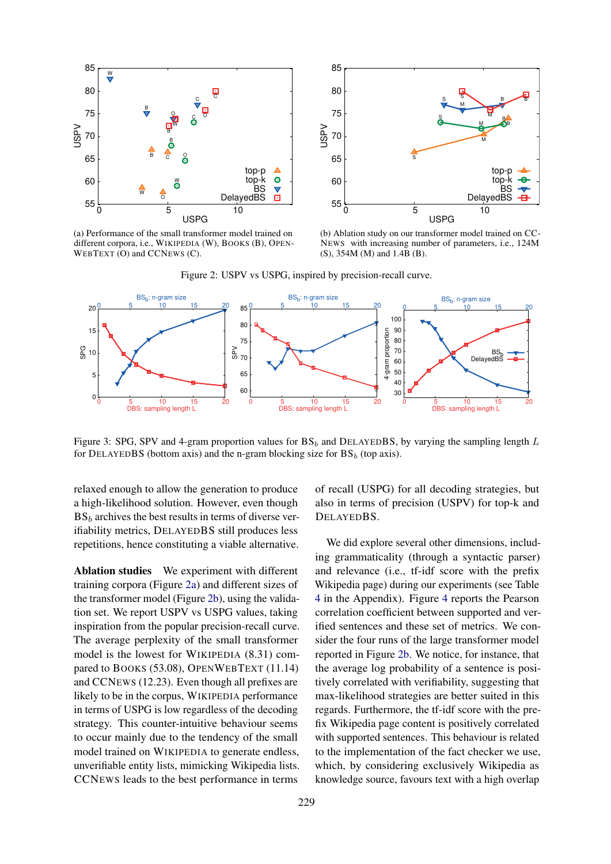<span id="page-6-0"></span>

(a) Performance of the small transformer model trained on different corpora, i.e., WIKIPEDIA (W), BOOKS (B), OPEN-WEBTEXT (O) and CCNEWS (C).



(b) Ablation study on our transformer model trained on CC-NEWS with increasing number of parameters, i.e., 124M (S), 354M (M) and 1.4B (B).



<span id="page-6-1"></span>

Figure 3: SPG, SPV and 4-gram proportion values for  $BS_b$  and DELAYEDBS, by varying the sampling length L for DELAYEDBS (bottom axis) and the n-gram blocking size for  $BS_b$  (top axis).

relaxed enough to allow the generation to produce a high-likelihood solution. However, even though  $BS<sub>b</sub>$  archives the best results in terms of diverse verifiability metrics, DELAYEDBS still produces less repetitions, hence constituting a viable alternative.

Ablation studies We experiment with different training corpora (Figure [2a\)](#page-6-0) and different sizes of the transformer model (Figure [2b\)](#page-6-0), using the validation set. We report USPV vs USPG values, taking inspiration from the popular precision-recall curve. The average perplexity of the small transformer model is the lowest for WIKIPEDIA (8.31) compared to BOOKS (53.08), OPENWEBTEXT (11.14) and CCNEWS (12.23). Even though all prefixes are likely to be in the corpus, WIKIPEDIA performance in terms of USPG is low regardless of the decoding strategy. This counter-intuitive behaviour seems to occur mainly due to the tendency of the small model trained on WIKIPEDIA to generate endless, unverifiable entity lists, mimicking Wikipedia lists. CCNEWS leads to the best performance in terms

of recall (USPG) for all decoding strategies, but also in terms of precision (USPV) for top-k and DELAYEDBS.

We did explore several other dimensions, including grammaticality (through a syntactic parser) and relevance (i.e., tf-idf score with the prefix Wikipedia page) during our experiments (see Table [4](#page-11-0) in the Appendix). Figure [4](#page-7-0) reports the Pearson correlation coefficient between supported and verified sentences and these set of metrics. We consider the four runs of the large transformer model reported in Figure [2b.](#page-6-0) We notice, for instance, that the average log probability of a sentence is positively correlated with verifiability, suggesting that max-likelihood strategies are better suited in this regards. Furthermore, the tf-idf score with the prefix Wikipedia page content is positively correlated with supported sentences. This behaviour is related to the implementation of the fact checker we use, which, by considering exclusively Wikipedia as knowledge source, favours text with a high overlap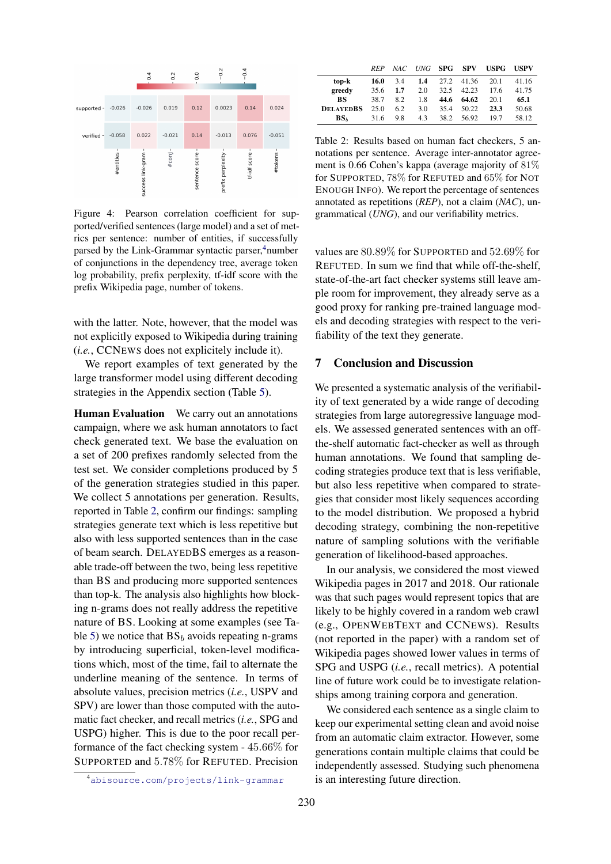<span id="page-7-0"></span>

Figure 4: Pearson correlation coefficient for supported/verified sentences (large model) and a set of metrics per sentence: number of entities, if successfully parsed by the Link-Grammar syntactic parser, $4$ number of conjunctions in the dependency tree, average token log probability, prefix perplexity, tf-idf score with the prefix Wikipedia page, number of tokens.

with the latter. Note, however, that the model was not explicitly exposed to Wikipedia during training (*i.e.*, CCNEWS does not explicitely include it).

We report examples of text generated by the large transformer model using different decoding strategies in the Appendix section (Table [5\)](#page-12-0).

Human Evaluation We carry out an annotations campaign, where we ask human annotators to fact check generated text. We base the evaluation on a set of 200 prefixes randomly selected from the test set. We consider completions produced by 5 of the generation strategies studied in this paper. We collect 5 annotations per generation. Results, reported in Table [2,](#page-7-1) confirm our findings: sampling strategies generate text which is less repetitive but also with less supported sentences than in the case of beam search. DELAYEDBS emerges as a reasonable trade-off between the two, being less repetitive than BS and producing more supported sentences than top-k. The analysis also highlights how blocking n-grams does not really address the repetitive nature of BS. Looking at some examples (see Ta-ble [5\)](#page-12-0) we notice that  $BS_b$  avoids repeating n-grams by introducing superficial, token-level modifications which, most of the time, fail to alternate the underline meaning of the sentence. In terms of absolute values, precision metrics (*i.e.*, USPV and SPV) are lower than those computed with the automatic fact checker, and recall metrics (*i.e.*, SPG and USPG) higher. This is due to the poor recall performance of the fact checking system - 45.66% for SUPPORTED and 5.78% for REFUTED. Precision

<span id="page-7-1"></span>

|                  | <b>RFP</b> | NAC. |     |      | UNG <b>SPG SPV</b> | <b>USPG</b> | <b>USPV</b> |
|------------------|------------|------|-----|------|--------------------|-------------|-------------|
| top-k            | 16.0       | 3.4  | 1.4 | 27.2 | 41.36              | 20.1        | 41.16       |
| greedy           | 35.6       | 1.7  | 2.0 | 32.5 | 42.23              | 17.6        | 41.75       |
| BS               | 38.7       | 82   | 1.8 | 44.6 | 64.62              | 20.1        | 65.1        |
| <b>DELAYEDBS</b> | 25.0       | 6.2  | 3.0 | 35.4 | 50.22              | 23.3        | 50.68       |
| $BS_{h}$         | 31.6       | 9.8  | 4.3 | 38.2 | 56.92              | 19.7        | 58.12       |

Table 2: Results based on human fact checkers, 5 annotations per sentence. Average inter-annotator agreement is 0.66 Cohen's kappa (average majority of 81% for SUPPORTED, 78% for REFUTED and 65% for NOT ENOUGH INFO). We report the percentage of sentences annotated as repetitions (*REP*), not a claim (*NAC*), ungrammatical (*UNG*), and our verifiability metrics.

values are 80.89% for SUPPORTED and 52.69% for REFUTED. In sum we find that while off-the-shelf, state-of-the-art fact checker systems still leave ample room for improvement, they already serve as a good proxy for ranking pre-trained language models and decoding strategies with respect to the verifiability of the text they generate.

### 7 Conclusion and Discussion

We presented a systematic analysis of the verifiability of text generated by a wide range of decoding strategies from large autoregressive language models. We assessed generated sentences with an offthe-shelf automatic fact-checker as well as through human annotations. We found that sampling decoding strategies produce text that is less verifiable, but also less repetitive when compared to strategies that consider most likely sequences according to the model distribution. We proposed a hybrid decoding strategy, combining the non-repetitive nature of sampling solutions with the verifiable generation of likelihood-based approaches.

In our analysis, we considered the most viewed Wikipedia pages in 2017 and 2018. Our rationale was that such pages would represent topics that are likely to be highly covered in a random web crawl (e.g., OPENWEBTEXT and CCNEWS). Results (not reported in the paper) with a random set of Wikipedia pages showed lower values in terms of SPG and USPG (*i.e.*, recall metrics). A potential line of future work could be to investigate relationships among training corpora and generation.

We considered each sentence as a single claim to keep our experimental setting clean and avoid noise from an automatic claim extractor. However, some generations contain multiple claims that could be independently assessed. Studying such phenomena is an interesting future direction.

<sup>4</sup><abisource.com/projects/link-grammar>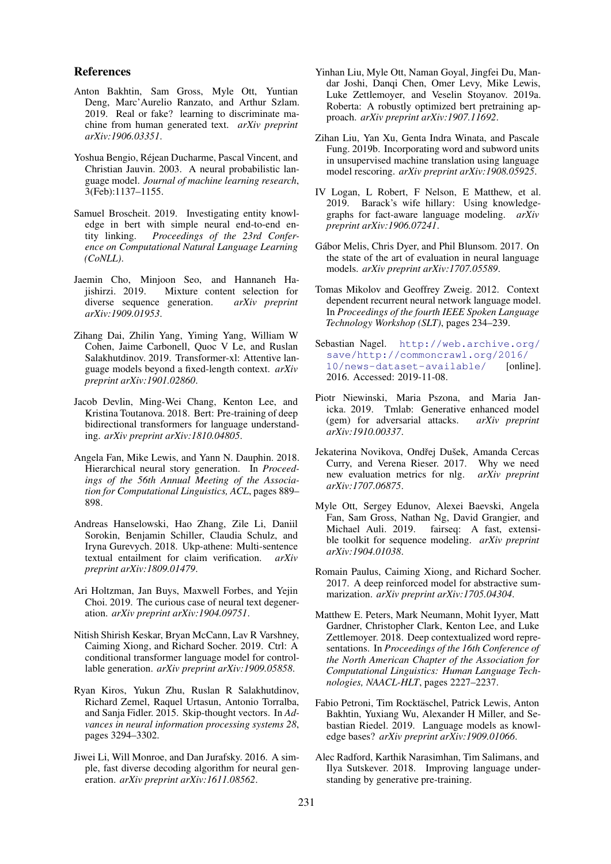### References

- <span id="page-8-12"></span>Anton Bakhtin, Sam Gross, Myle Ott, Yuntian Deng, Marc'Aurelio Ranzato, and Arthur Szlam. 2019. Real or fake? learning to discriminate machine from human generated text. *arXiv preprint arXiv:1906.03351*.
- <span id="page-8-17"></span>Yoshua Bengio, Rejean Ducharme, Pascal Vincent, and ´ Christian Jauvin. 2003. A neural probabilistic language model. *Journal of machine learning research*, 3(Feb):1137–1155.
- <span id="page-8-7"></span>Samuel Broscheit. 2019. Investigating entity knowledge in bert with simple neural end-to-end entity linking. *Proceedings of the 23rd Conference on Computational Natural Language Learning (CoNLL)*.
- <span id="page-8-11"></span>Jaemin Cho, Minjoon Seo, and Hannaneh Hajishirzi. 2019. Mixture content selection for diverse sequence generation. *arXiv preprint arXiv:1909.01953*.
- <span id="page-8-19"></span>Zihang Dai, Zhilin Yang, Yiming Yang, William W Cohen, Jaime Carbonell, Quoc V Le, and Ruslan Salakhutdinov. 2019. Transformer-xl: Attentive language models beyond a fixed-length context. *arXiv preprint arXiv:1901.02860*.
- <span id="page-8-1"></span>Jacob Devlin, Ming-Wei Chang, Kenton Lee, and Kristina Toutanova. 2018. Bert: Pre-training of deep bidirectional transformers for language understanding. *arXiv preprint arXiv:1810.04805*.
- <span id="page-8-10"></span>Angela Fan, Mike Lewis, and Yann N. Dauphin. 2018. Hierarchical neural story generation. In *Proceedings of the 56th Annual Meeting of the Association for Computational Linguistics, ACL*, pages 889– 898.
- <span id="page-8-24"></span>Andreas Hanselowski, Hao Zhang, Zile Li, Daniil Sorokin, Benjamin Schiller, Claudia Schulz, and Iryna Gurevych. 2018. Ukp-athene: Multi-sentence textual entailment for claim verification. *arXiv preprint arXiv:1809.01479*.
- <span id="page-8-8"></span>Ari Holtzman, Jan Buys, Maxwell Forbes, and Yejin Choi. 2019. The curious case of neural text degeneration. *arXiv preprint arXiv:1904.09751*.
- <span id="page-8-4"></span>Nitish Shirish Keskar, Bryan McCann, Lav R Varshney, Caiming Xiong, and Richard Socher. 2019. Ctrl: A conditional transformer language model for controllable generation. *arXiv preprint arXiv:1909.05858*.
- <span id="page-8-21"></span>Ryan Kiros, Yukun Zhu, Ruslan R Salakhutdinov, Richard Zemel, Raquel Urtasun, Antonio Torralba, and Sanja Fidler. 2015. Skip-thought vectors. In *Advances in neural information processing systems 28*, pages 3294–3302.
- <span id="page-8-9"></span>Jiwei Li, Will Monroe, and Dan Jurafsky. 2016. A simple, fast diverse decoding algorithm for neural generation. *arXiv preprint arXiv:1611.08562*.
- <span id="page-8-2"></span>Yinhan Liu, Myle Ott, Naman Goyal, Jingfei Du, Mandar Joshi, Danqi Chen, Omer Levy, Mike Lewis, Luke Zettlemoyer, and Veselin Stoyanov. 2019a. Roberta: A robustly optimized bert pretraining approach. *arXiv preprint arXiv:1907.11692*.
- <span id="page-8-3"></span>Zihan Liu, Yan Xu, Genta Indra Winata, and Pascale Fung. 2019b. Incorporating word and subword units in unsupervised machine translation using language model rescoring. *arXiv preprint arXiv:1908.05925*.
- <span id="page-8-6"></span>IV Logan, L Robert, F Nelson, E Matthew, et al. 2019. Barack's wife hillary: Using knowledgegraphs for fact-aware language modeling. *arXiv preprint arXiv:1906.07241*.
- <span id="page-8-16"></span>Gábor Melis, Chris Dyer, and Phil Blunsom. 2017. On the state of the art of evaluation in neural language models. *arXiv preprint arXiv:1707.05589*.
- <span id="page-8-15"></span>Tomas Mikolov and Geoffrey Zweig. 2012. Context dependent recurrent neural network language model. In *Proceedings of the fourth IEEE Spoken Language Technology Workshop (SLT)*, pages 234–239.
- <span id="page-8-22"></span>Sebastian Nagel. [http://web.archive.org/](http://web.archive.org/save/http://commoncrawl.org/2016/10/news-dataset-available/) [save/http://commoncrawl.org/2016/](http://web.archive.org/save/http://commoncrawl.org/2016/10/news-dataset-available/) [10/news-dataset-available/](http://web.archive.org/save/http://commoncrawl.org/2016/10/news-dataset-available/) [online]. 2016. Accessed: 2019-11-08.
- <span id="page-8-13"></span>Piotr Niewinski, Maria Pszona, and Maria Janicka. 2019. Tmlab: Generative enhanced model (gem) for adversarial attacks. *arXiv preprint arXiv:1910.00337*.
- <span id="page-8-14"></span>Jekaterina Novikova, Ondřej Dušek, Amanda Cercas Curry, and Verena Rieser. 2017. Why we need new evaluation metrics for nlg. *arXiv preprint arXiv:1707.06875*.
- <span id="page-8-23"></span>Myle Ott, Sergey Edunov, Alexei Baevski, Angela Fan, Sam Gross, Nathan Ng, David Grangier, and Michael Auli. 2019. fairseq: A fast, extensible toolkit for sequence modeling. *arXiv preprint arXiv:1904.01038*.
- <span id="page-8-20"></span>Romain Paulus, Caiming Xiong, and Richard Socher. 2017. A deep reinforced model for abstractive summarization. *arXiv preprint arXiv:1705.04304*.
- <span id="page-8-0"></span>Matthew E. Peters, Mark Neumann, Mohit Iyyer, Matt Gardner, Christopher Clark, Kenton Lee, and Luke Zettlemoyer. 2018. Deep contextualized word representations. In *Proceedings of the 16th Conference of the North American Chapter of the Association for Computational Linguistics: Human Language Technologies, NAACL-HLT*, pages 2227–2237.
- <span id="page-8-5"></span>Fabio Petroni, Tim Rocktäschel, Patrick Lewis, Anton Bakhtin, Yuxiang Wu, Alexander H Miller, and Sebastian Riedel. 2019. Language models as knowledge bases? *arXiv preprint arXiv:1909.01066*.
- <span id="page-8-18"></span>Alec Radford, Karthik Narasimhan, Tim Salimans, and Ilya Sutskever. 2018. Improving language understanding by generative pre-training.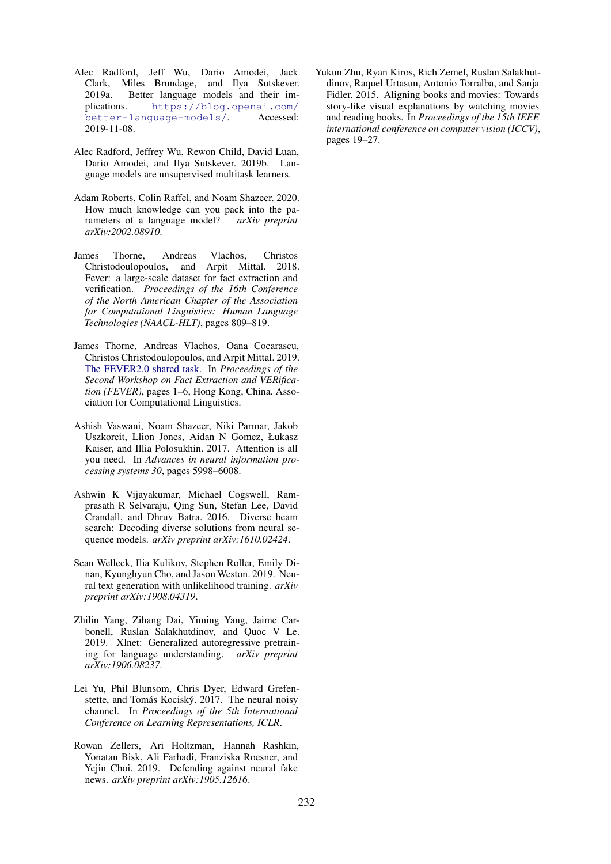- <span id="page-9-4"></span>Alec Radford, Jeff Wu, Dario Amodei, Jack Clark, Miles Brundage, and Ilya Sutskever. 2019a. Better language models and their implications. [https://blog.openai.com/](https://blog.openai.com/better-language-models/) [better-language-models/](https://blog.openai.com/better-language-models/). Accessed: 2019-11-08.
- <span id="page-9-2"></span>Alec Radford, Jeffrey Wu, Rewon Child, David Luan, Dario Amodei, and Ilya Sutskever. 2019b. Language models are unsupervised multitask learners.
- <span id="page-9-3"></span>Adam Roberts, Colin Raffel, and Noam Shazeer. 2020. How much knowledge can you pack into the parameters of a language model? *arXiv preprint arXiv:2002.08910*.
- <span id="page-9-5"></span>James Thorne, Andreas Vlachos, Christos Christodoulopoulos, and Arpit Mittal. 2018. Fever: a large-scale dataset for fact extraction and verification. *Proceedings of the 16th Conference of the North American Chapter of the Association for Computational Linguistics: Human Language Technologies (NAACL-HLT)*, pages 809–819.
- <span id="page-9-11"></span>James Thorne, Andreas Vlachos, Oana Cocarascu, Christos Christodoulopoulos, and Arpit Mittal. 2019. [The FEVER2.0 shared task.](https://doi.org/10.18653/v1/D19-6601) In *Proceedings of the Second Workshop on Fact Extraction and VERification (FEVER)*, pages 1–6, Hong Kong, China. Association for Computational Linguistics.
- <span id="page-9-9"></span>Ashish Vaswani, Noam Shazeer, Niki Parmar, Jakob Uszkoreit, Llion Jones, Aidan N Gomez, Łukasz Kaiser, and Illia Polosukhin. 2017. Attention is all you need. In *Advances in neural information processing systems 30*, pages 5998–6008.
- <span id="page-9-6"></span>Ashwin K Vijayakumar, Michael Cogswell, Ramprasath R Selvaraju, Qing Sun, Stefan Lee, David Crandall, and Dhruv Batra. 2016. Diverse beam search: Decoding diverse solutions from neural sequence models. *arXiv preprint arXiv:1610.02424*.
- <span id="page-9-7"></span>Sean Welleck, Ilia Kulikov, Stephen Roller, Emily Dinan, Kyunghyun Cho, and Jason Weston. 2019. Neural text generation with unlikelihood training. *arXiv preprint arXiv:1908.04319*.
- <span id="page-9-0"></span>Zhilin Yang, Zihang Dai, Yiming Yang, Jaime Carbonell, Ruslan Salakhutdinov, and Quoc V Le. 2019. Xlnet: Generalized autoregressive pretraining for language understanding. *arXiv preprint arXiv:1906.08237*.
- <span id="page-9-1"></span>Lei Yu, Phil Blunsom, Chris Dyer, Edward Grefenstette, and Tomás Kociský. 2017. The neural noisy channel. In *Proceedings of the 5th International Conference on Learning Representations, ICLR*.
- <span id="page-9-8"></span>Rowan Zellers, Ari Holtzman, Hannah Rashkin, Yonatan Bisk, Ali Farhadi, Franziska Roesner, and Yejin Choi. 2019. Defending against neural fake news. *arXiv preprint arXiv:1905.12616*.

<span id="page-9-10"></span>Yukun Zhu, Ryan Kiros, Rich Zemel, Ruslan Salakhutdinov, Raquel Urtasun, Antonio Torralba, and Sanja Fidler. 2015. Aligning books and movies: Towards story-like visual explanations by watching movies and reading books. In *Proceedings of the 15th IEEE international conference on computer vision (ICCV)*, pages 19–27.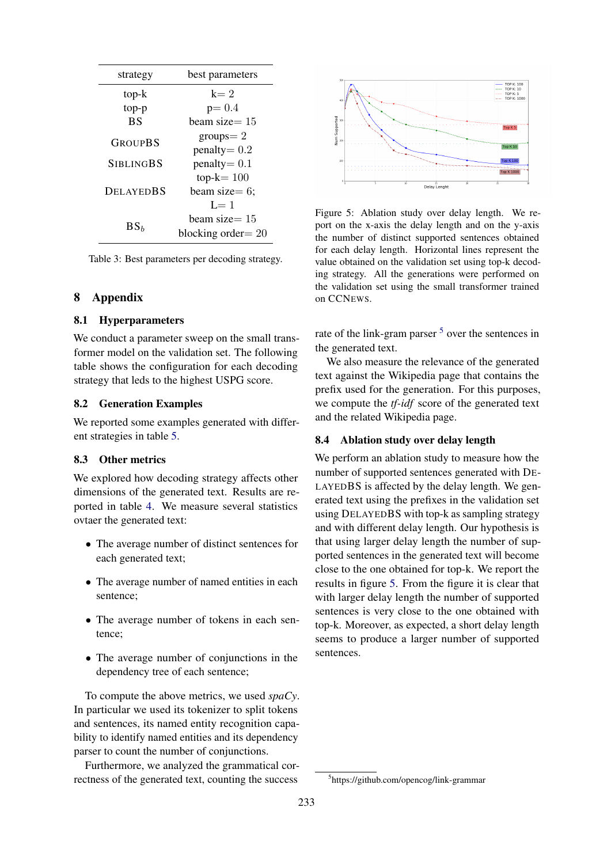| strategy         | best parameters                          |  |  |  |
|------------------|------------------------------------------|--|--|--|
| top-k            | $k=2$                                    |  |  |  |
| top-p            | $p = 0.4$                                |  |  |  |
| <b>BS</b>        | beam size $=15$                          |  |  |  |
| GROUPBS          | $groups = 2$                             |  |  |  |
|                  | $penalty = 0.2$                          |  |  |  |
| <b>SIBLINGBS</b> | $penalty = 0.1$                          |  |  |  |
|                  | $top-k = 100$                            |  |  |  |
| <b>DELAYEDBS</b> | beam size= $6$ ;                         |  |  |  |
|                  | $I = 1$                                  |  |  |  |
| BS <sub>b</sub>  | beam size $=15$<br>blocking order $= 20$ |  |  |  |
|                  |                                          |  |  |  |

Table 3: Best parameters per decoding strategy.

# 8 Appendix

# 8.1 Hyperparameters

We conduct a parameter sweep on the small transformer model on the validation set. The following table shows the configuration for each decoding strategy that leds to the highest USPG score.

# 8.2 Generation Examples

We reported some examples generated with different strategies in table [5.](#page-12-0)

#### 8.3 Other metrics

We explored how decoding strategy affects other dimensions of the generated text. Results are reported in table [4.](#page-11-0) We measure several statistics ovtaer the generated text:

- The average number of distinct sentences for each generated text;
- The average number of named entities in each sentence;
- The average number of tokens in each sentence;
- The average number of conjunctions in the dependency tree of each sentence;

To compute the above metrics, we used *spaCy*. In particular we used its tokenizer to split tokens and sentences, its named entity recognition capability to identify named entities and its dependency parser to count the number of conjunctions.

Furthermore, we analyzed the grammatical correctness of the generated text, counting the success

<span id="page-10-0"></span>

Figure 5: Ablation study over delay length. We report on the x-axis the delay length and on the y-axis the number of distinct supported sentences obtained for each delay length. Horizontal lines represent the value obtained on the validation set using top-k decoding strategy. All the generations were performed on the validation set using the small transformer trained on CCNEWS.

rate of the link-gram parser <sup>[5](#page-0-0)</sup> over the sentences in the generated text.

We also measure the relevance of the generated text against the Wikipedia page that contains the prefix used for the generation. For this purposes, we compute the *tf-idf* score of the generated text and the related Wikipedia page.

### 8.4 Ablation study over delay length

We perform an ablation study to measure how the number of supported sentences generated with DE-LAYEDBS is affected by the delay length. We generated text using the prefixes in the validation set using DELAYEDBS with top-k as sampling strategy and with different delay length. Our hypothesis is that using larger delay length the number of supported sentences in the generated text will become close to the one obtained for top-k. We report the results in figure [5.](#page-10-0) From the figure it is clear that with larger delay length the number of supported sentences is very close to the one obtained with top-k. Moreover, as expected, a short delay length seems to produce a larger number of supported sentences.

<sup>5</sup> https://github.com/opencog/link-grammar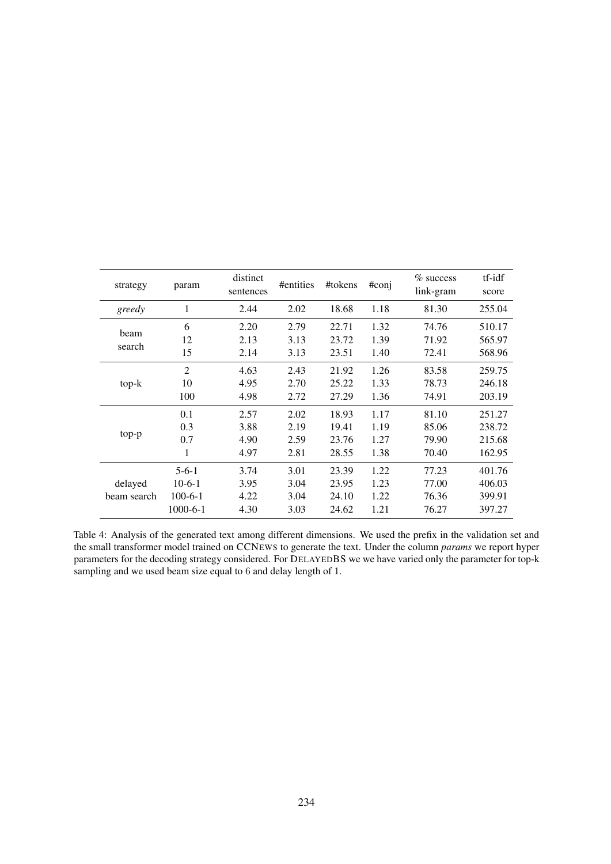<span id="page-11-0"></span>

| strategy               | param                                              | distinct<br>sentences        | #entities                    | #tokens                          | #conj                        | $%$ success<br>link-gram         | tf-idf<br>score                      |
|------------------------|----------------------------------------------------|------------------------------|------------------------------|----------------------------------|------------------------------|----------------------------------|--------------------------------------|
| greedy                 | 1                                                  | 2.44                         | 2.02                         | 18.68                            | 1.18                         | 81.30                            | 255.04                               |
| <b>beam</b>            | 6                                                  | 2.20                         | 2.79                         | 22.71                            | 1.32                         | 74.76                            | 510.17                               |
| search                 | 12                                                 | 2.13                         | 3.13                         | 23.72                            | 1.39                         | 71.92                            | 565.97                               |
|                        | 15                                                 | 2.14                         | 3.13                         | 23.51                            | 1.40                         | 72.41                            | 568.96                               |
|                        | $\overline{2}$                                     | 4.63                         | 2.43                         | 21.92                            | 1.26                         | 83.58                            | 259.75                               |
| $top-k$                | 10                                                 | 4.95                         | 2.70                         | 25.22                            | 1.33                         | 78.73                            | 246.18                               |
|                        | 100                                                | 4.98                         | 2.72                         | 27.29                            | 1.36                         | 74.91                            | 203.19                               |
| top-p                  | 0.1                                                | 2.57                         | 2.02                         | 18.93                            | 1.17                         | 81.10                            | 251.27                               |
|                        | 0.3                                                | 3.88                         | 2.19                         | 19.41                            | 1.19                         | 85.06                            | 238.72                               |
|                        | 0.7                                                | 4.90                         | 2.59                         | 23.76                            | 1.27                         | 79.90                            | 215.68                               |
|                        | 1                                                  | 4.97                         | 2.81                         | 28.55                            | 1.38                         | 70.40                            | 162.95                               |
| delayed<br>beam search | $5-6-1$<br>$10-6-1$<br>$100-6-1$<br>$1000 - 6 - 1$ | 3.74<br>3.95<br>4.22<br>4.30 | 3.01<br>3.04<br>3.04<br>3.03 | 23.39<br>23.95<br>24.10<br>24.62 | 1.22<br>1.23<br>1.22<br>1.21 | 77.23<br>77.00<br>76.36<br>76.27 | 401.76<br>406.03<br>399.91<br>397.27 |

Table 4: Analysis of the generated text among different dimensions. We used the prefix in the validation set and the small transformer model trained on CCNEWS to generate the text. Under the column *params* we report hyper parameters for the decoding strategy considered. For DELAYEDBS we we have varied only the parameter for top-k sampling and we used beam size equal to 6 and delay length of 1.